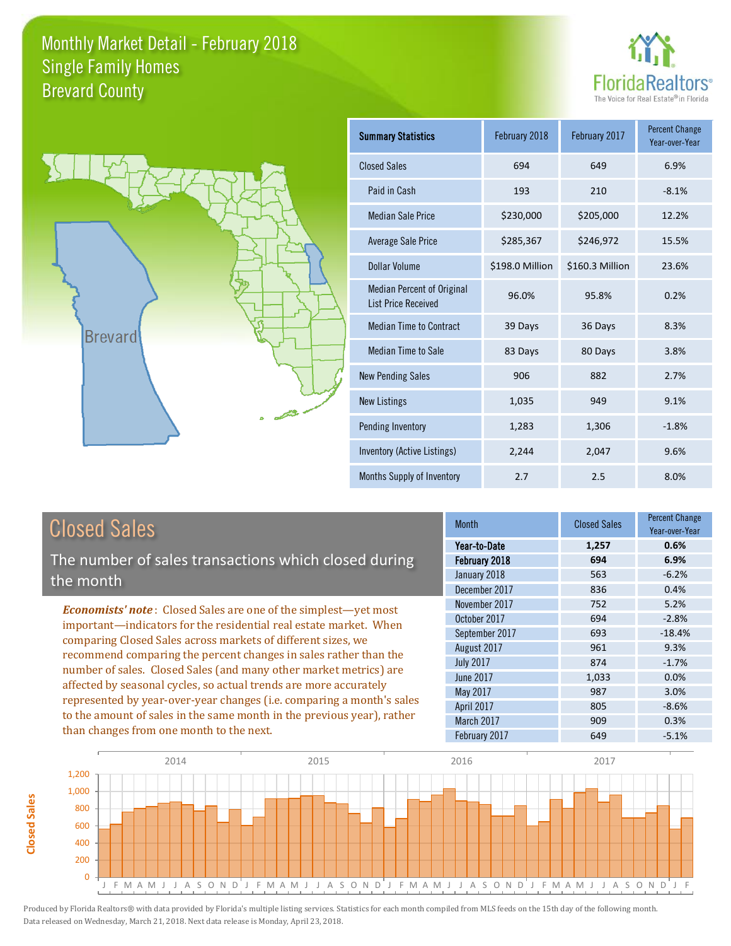



| <b>Summary Statistics</b>                                       | February 2018   | February 2017   | <b>Percent Change</b><br>Year-over-Year |
|-----------------------------------------------------------------|-----------------|-----------------|-----------------------------------------|
| <b>Closed Sales</b>                                             | 694             | 649             | 6.9%                                    |
| Paid in Cash                                                    | 193             | 210             | $-8.1%$                                 |
| <b>Median Sale Price</b>                                        | \$230,000       | \$205,000       | 12.2%                                   |
| Average Sale Price                                              | \$285,367       | \$246,972       | 15.5%                                   |
| Dollar Volume                                                   | \$198.0 Million | \$160.3 Million | 23.6%                                   |
| <b>Median Percent of Original</b><br><b>List Price Received</b> | 96.0%           | 95.8%           | 0.2%                                    |
| <b>Median Time to Contract</b>                                  | 39 Days         | 36 Days         | 8.3%                                    |
| <b>Median Time to Sale</b>                                      | 83 Days         | 80 Days         | 3.8%                                    |
| <b>New Pending Sales</b>                                        | 906             | 882             | 2.7%                                    |
| <b>New Listings</b>                                             | 1,035           | 949             | 9.1%                                    |
| Pending Inventory                                               | 1,283           | 1,306           | $-1.8%$                                 |
| Inventory (Active Listings)                                     | 2,244           | 2,047           | 9.6%                                    |
| Months Supply of Inventory                                      | 2.7             | 2.5             | 8.0%                                    |

## Closed Sales

**Closed Sales**

**Closed Sales** 

The number of sales transactions which closed during the month

*Economists' note* : Closed Sales are one of the simplest—yet most important—indicators for the residential real estate market. When comparing Closed Sales across markets of different sizes, we recommend comparing the percent changes in sales rather than the number of sales. Closed Sales (and many other market metrics) are affected by seasonal cycles, so actual trends are more accurately represented by year-over-year changes (i.e. comparing a month's sales to the amount of sales in the same month in the previous year), rather than changes from one month to the next.

| <b>Month</b>     | <b>Closed Sales</b> | Percent Change<br>Year-over-Year |  |
|------------------|---------------------|----------------------------------|--|
| Year-to-Date     | 1,257               | 0.6%                             |  |
| February 2018    | 694                 | 6.9%                             |  |
| January 2018     | 563                 | $-6.2%$                          |  |
| December 2017    | 836                 | 0.4%                             |  |
| November 2017    | 752                 | 5.2%                             |  |
| October 2017     | 694                 | $-2.8%$                          |  |
| September 2017   | 693                 | $-18.4%$                         |  |
| August 2017      | 961                 | 9.3%                             |  |
| <b>July 2017</b> | 874                 | $-1.7%$                          |  |
| <b>June 2017</b> | 1,033               | 0.0%                             |  |
| May 2017         | 987                 | 3.0%                             |  |
| April 2017       | 805                 | $-8.6%$                          |  |
| March 2017       | 909                 | 0.3%                             |  |
| February 2017    | 649                 | $-5.1%$                          |  |

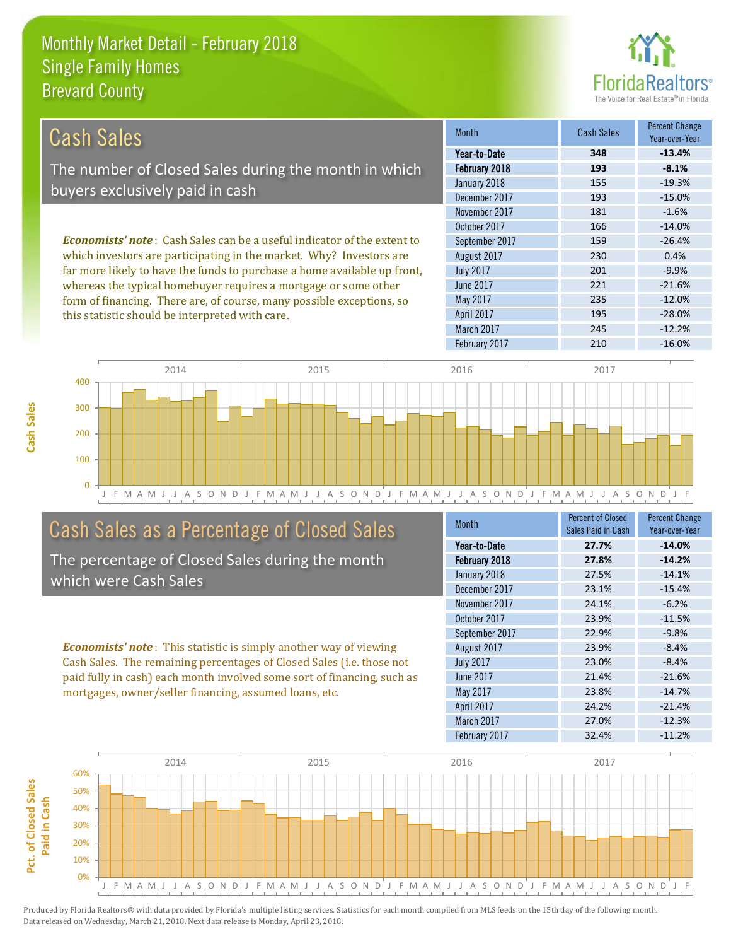

| Cash Sales                                                                     | <b>Month</b>     | <b>Cash Sales</b> | <b>Percent Change</b><br>Year-over-Year |
|--------------------------------------------------------------------------------|------------------|-------------------|-----------------------------------------|
|                                                                                | Year-to-Date     | 348               | $-13.4%$                                |
| The number of Closed Sales during the month in which                           | February 2018    | 193               | $-8.1%$                                 |
| buyers exclusively paid in cash                                                | January 2018     | 155               | $-19.3%$                                |
|                                                                                | December 2017    | 193               | $-15.0%$                                |
|                                                                                | November 2017    | 181               | $-1.6%$                                 |
|                                                                                | October 2017     | 166               | $-14.0%$                                |
| <b>Economists' note:</b> Cash Sales can be a useful indicator of the extent to | September 2017   | 159               | $-26.4%$                                |
| which investors are participating in the market. Why? Investors are            | August 2017      | 230               | 0.4%                                    |
| far more likely to have the funds to purchase a home available up front,       | <b>July 2017</b> | 201               | $-9.9%$                                 |
| whereas the typical homebuyer requires a mortgage or some other                | June 2017        | 221               | $-21.6%$                                |
| form of financing. There are, of course, many possible exceptions, so          | May 2017         | 235               | $-12.0%$                                |

this statistic should be interpreted with care.

|  | January 2018     | 155 | $-19.3%$ |
|--|------------------|-----|----------|
|  | December 2017    | 193 | $-15.0%$ |
|  | November 2017    | 181 | $-1.6%$  |
|  | October 2017     | 166 | $-14.0%$ |
|  | September 2017   | 159 | $-26.4%$ |
|  | August 2017      | 230 | 0.4%     |
|  | <b>July 2017</b> | 201 | $-9.9%$  |
|  | <b>June 2017</b> | 221 | $-21.6%$ |
|  | May 2017         | 235 | $-12.0%$ |
|  | April 2017       | 195 | $-28.0%$ |
|  | March 2017       | 245 | $-12.2%$ |
|  | February 2017    | 210 | $-16.0%$ |
|  |                  |     |          |



# Cash Sales as a Percentage of Closed Sales

The percentage of Closed Sales during the month which were Cash Sales

*Economists' note* : This statistic is simply another way of viewing Cash Sales. The remaining percentages of Closed Sales (i.e. those not paid fully in cash) each month involved some sort of financing, such as mortgages, owner/seller financing, assumed loans, etc.

| <b>Month</b>     | Percent of Closed  | <b>Percent Change</b> |
|------------------|--------------------|-----------------------|
|                  | Sales Paid in Cash | Year-over-Year        |
| Year-to-Date     | 27.7%              | $-14.0%$              |
| February 2018    | 27.8%              | $-14.2%$              |
| January 2018     | 27.5%              | $-14.1%$              |
| December 2017    | 23.1%              | $-15.4%$              |
| November 2017    | 24.1%              | $-6.2%$               |
| October 2017     | 23.9%              | $-11.5%$              |
| September 2017   | 22.9%              | $-9.8%$               |
| August 2017      | 23.9%              | $-8.4%$               |
| <b>July 2017</b> | 23.0%              | $-8.4%$               |
| June 2017        | 21.4%              | $-21.6%$              |
| May 2017         | 23.8%              | $-14.7%$              |
| April 2017       | 24.2%              | $-21.4%$              |
| March 2017       | 27.0%              | $-12.3%$              |
| February 2017    | 32.4%              | $-11.2%$              |

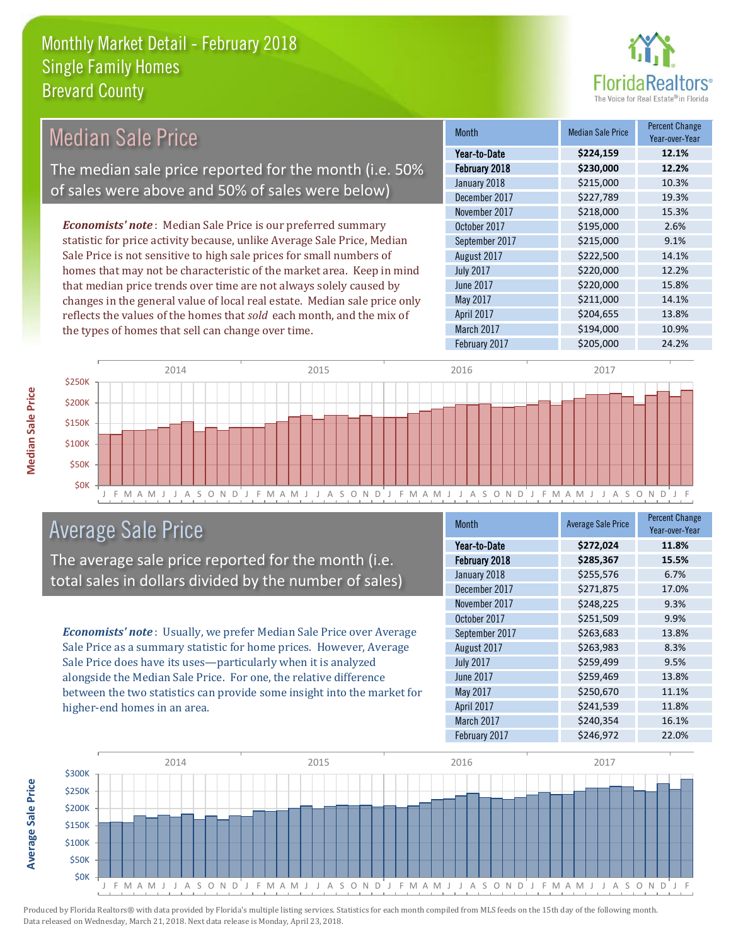

| Median Sale Price                                                         | <b>Month</b>      | <b>Median Sale Price</b> | <b>Percent Change</b><br>Year-over-Year |
|---------------------------------------------------------------------------|-------------------|--------------------------|-----------------------------------------|
|                                                                           | Year-to-Date      | \$224,159                | 12.1%                                   |
| The median sale price reported for the month (i.e. 50%                    | February 2018     | \$230,000                | 12.2%                                   |
|                                                                           | January 2018      | \$215,000                | 10.3%                                   |
| of sales were above and 50% of sales were below)                          | December 2017     | \$227,789                | 19.3%                                   |
|                                                                           | November 2017     | \$218,000                | 15.3%                                   |
| <b>Economists' note:</b> Median Sale Price is our preferred summary       | October 2017      | \$195,000                | 2.6%                                    |
| statistic for price activity because, unlike Average Sale Price, Median   | September 2017    | \$215,000                | 9.1%                                    |
| Sale Price is not sensitive to high sale prices for small numbers of      | August 2017       | \$222,500                | 14.1%                                   |
| homes that may not be characteristic of the market area. Keep in mind     | <b>July 2017</b>  | \$220,000                | 12.2%                                   |
| that median price trends over time are not always solely caused by        | June 2017         | \$220,000                | 15.8%                                   |
| changes in the general value of local real estate. Median sale price only | May 2017          | \$211,000                | 14.1%                                   |
| reflects the values of the homes that sold each month, and the mix of     | <b>April 2017</b> | \$204,655                | 13.8%                                   |
| the types of homes that sell can change over time.                        | March 2017        | \$194,000                | 10.9%                                   |



## Average Sale Price

The average sale price reported for the month (i.e. total sales in dollars divided by the number of sales)

*Economists' note* : Usually, we prefer Median Sale Price over Average Sale Price as a summary statistic for home prices. However, Average Sale Price does have its uses—particularly when it is analyzed alongside the Median Sale Price. For one, the relative difference between the two statistics can provide some insight into the market for higher-end homes in an area.

| <b>Month</b>     | <b>Average Sale Price</b> | <b>Percent Change</b><br>Year-over-Year |
|------------------|---------------------------|-----------------------------------------|
| Year-to-Date     | \$272,024                 | 11.8%                                   |
| February 2018    | \$285,367                 | 15.5%                                   |
| January 2018     | \$255,576                 | 6.7%                                    |
| December 2017    | \$271,875                 | 17.0%                                   |
| November 2017    | \$248,225                 | 9.3%                                    |
| October 2017     | \$251,509                 | 9.9%                                    |
| September 2017   | \$263,683                 | 13.8%                                   |
| August 2017      | \$263,983                 | 8.3%                                    |
| <b>July 2017</b> | \$259,499                 | 9.5%                                    |
| June 2017        | \$259,469                 | 13.8%                                   |
| May 2017         | \$250,670                 | 11.1%                                   |
| April 2017       | \$241,539                 | 11.8%                                   |
| March 2017       | \$240,354                 | 16.1%                                   |
| February 2017    | \$246,972                 | 22.0%                                   |

February 2017 **\$205,000** 24.2%



Produced by Florida Realtors® with data provided by Florida's multiple listing services. Statistics for each month compiled from MLS feeds on the 15th day of the following month. Data released on Wednesday, March 21, 2018. Next data release is Monday, April 23, 2018.

**Average Sale Price**

**Average Sale Price**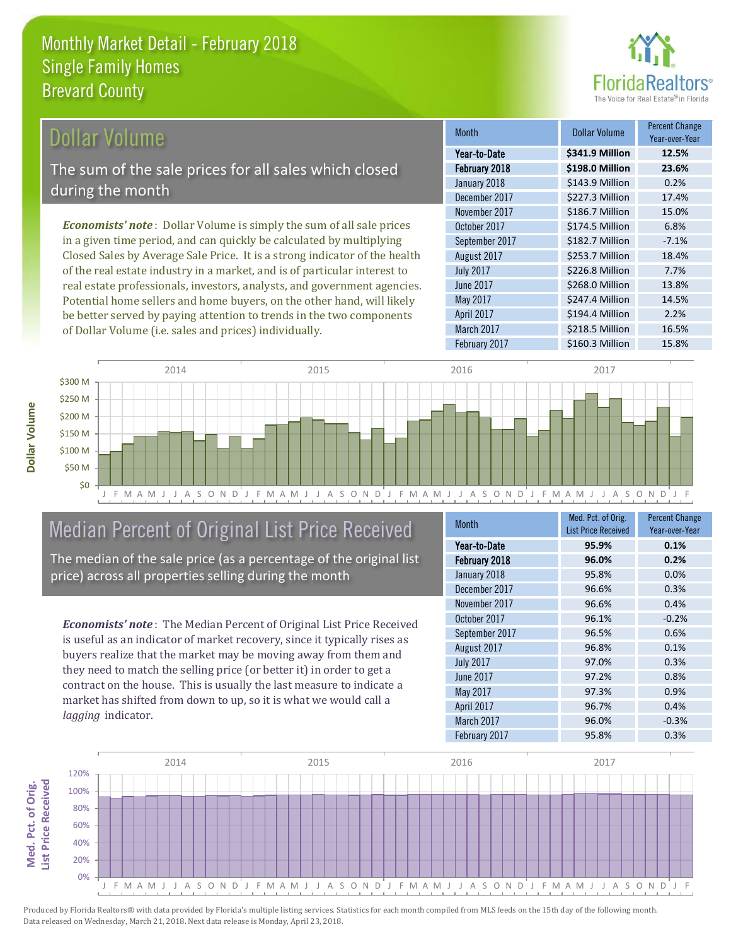

## Dollar Volume

The sum of the sale prices for all sales which closed during the month

*Economists' note* : Dollar Volume is simply the sum of all sale prices in a given time period, and can quickly be calculated by multiplying Closed Sales by Average Sale Price. It is a strong indicator of the health of the real estate industry in a market, and is of particular interest to real estate professionals, investors, analysts, and government agencies. Potential home sellers and home buyers, on the other hand, will likely be better served by paying attention to trends in the two components of Dollar Volume (i.e. sales and prices) individually.

| <b>Month</b>     | <b>Dollar Volume</b> | <b>Percent Change</b><br>Year-over-Year |
|------------------|----------------------|-----------------------------------------|
| Year-to-Date     | \$341.9 Million      | 12.5%                                   |
| February 2018    | \$198.0 Million      | 23.6%                                   |
| January 2018     | \$143.9 Million      | 0.2%                                    |
| December 2017    | \$227.3 Million      | 17.4%                                   |
| November 2017    | \$186.7 Million      | 15.0%                                   |
| October 2017     | \$174.5 Million      | 6.8%                                    |
| September 2017   | \$182.7 Million      | $-7.1%$                                 |
| August 2017      | \$253.7 Million      | 18.4%                                   |
| <b>July 2017</b> | \$226.8 Million      | 7.7%                                    |
| <b>June 2017</b> | \$268.0 Million      | 13.8%                                   |
| May 2017         | \$247.4 Million      | 14.5%                                   |
| April 2017       | \$194.4 Million      | 2.2%                                    |
| March 2017       | \$218.5 Million      | 16.5%                                   |
| February 2017    | \$160.3 Million      | 15.8%                                   |



## Median Percent of Original List Price Received

The median of the sale price (as a percentage of the original list price) across all properties selling during the month

*Economists' note* : The Median Percent of Original List Price Received is useful as an indicator of market recovery, since it typically rises as buyers realize that the market may be moving away from them and they need to match the selling price (or better it) in order to get a contract on the house. This is usually the last measure to indicate a market has shifted from down to up, so it is what we would call a *lagging* indicator.

| <b>Month</b>     | Med. Pct. of Orig.         | <b>Percent Change</b> |
|------------------|----------------------------|-----------------------|
|                  | <b>List Price Received</b> | Year-over-Year        |
| Year-to-Date     | 95.9%                      | 0.1%                  |
| February 2018    | 96.0%                      | 0.2%                  |
| January 2018     | 95.8%                      | 0.0%                  |
| December 2017    | 96.6%                      | 0.3%                  |
| November 2017    | 96.6%                      | 0.4%                  |
| October 2017     | 96.1%                      | $-0.2%$               |
| September 2017   | 96.5%                      | 0.6%                  |
| August 2017      | 96.8%                      | 0.1%                  |
| <b>July 2017</b> | 97.0%                      | 0.3%                  |
| June 2017        | 97.2%                      | 0.8%                  |
| May 2017         | 97.3%                      | 0.9%                  |
| April 2017       | 96.7%                      | 0.4%                  |
| March 2017       | 96.0%                      | $-0.3%$               |
| February 2017    | 95.8%                      | 0.3%                  |



Produced by Florida Realtors® with data provided by Florida's multiple listing services. Statistics for each month compiled from MLS feeds on the 15th day of the following month. Data released on Wednesday, March 21, 2018. Next data release is Monday, April 23, 2018.

**Med. Pct. of Orig.** 

Med. Pct. of Orig.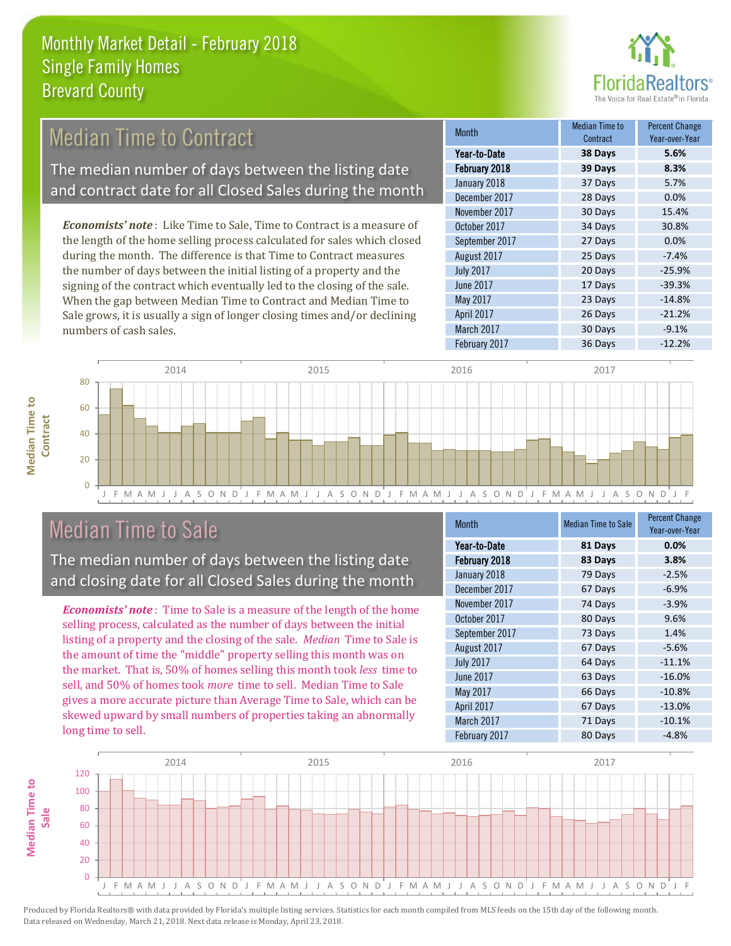

#### 28 Days 0.0% November 2017 30 Days 15.4% Month Month Median Time to **Contract** Percent Change Year-over-Year February 2018 **39 Days 8.3%** Year-to-Date **38 Days 5.6%** January 2018 **37 Days** 5.7% December 2017 August 2017 **25 Days** -7.4% July 2017 20 Days -25.9% October 2017 34 Days 30.8% September 2017 27 Days 0.0% *Economists' note* : Like Time to Sale, Time to Contract is a measure of the length of the home selling process calculated for sales which closed during the month. The difference is that Time to Contract measures the number of days between the initial listing of a property and the Median Time to Contract The median number of days between the listing date and contract date for all Closed Sales during the month

signing of the contract which eventually led to the closing of the sale. When the gap between Median Time to Contract and Median Time to Sale grows, it is usually a sign of longer closing times and/or declining numbers of cash sales.

|  | 1 val – 10 – 174 IV | JU DUYJ | ----     |
|--|---------------------|---------|----------|
|  | February 2018       | 39 Days | 8.3%     |
|  | January 2018        | 37 Days | 5.7%     |
|  | December 2017       | 28 Days | 0.0%     |
|  | November 2017       | 30 Days | 15.4%    |
|  | October 2017        | 34 Days | 30.8%    |
|  | September 2017      | 27 Days | 0.0%     |
|  | August 2017         | 25 Days | $-7.4%$  |
|  | <b>July 2017</b>    | 20 Days | $-25.9%$ |
|  | <b>June 2017</b>    | 17 Days | $-39.3%$ |
|  | May 2017            | 23 Days | $-14.8%$ |
|  | April 2017          | 26 Days | $-21.2%$ |
|  | March 2017          | 30 Days | $-9.1%$  |
|  | February 2017       | 36 Days | $-12.2%$ |



## Median Time to Sale

The median number of days between the listing date and closing date for all Closed Sales during the month

*Economists' note* : Time to Sale is a measure of the length of the home selling process, calculated as the number of days between the initial listing of a property and the closing of the sale. *Median* Time to Sale is the amount of time the "middle" property selling this month was on the market. That is, 50% of homes selling this month took *less* time to sell, and 50% of homes took *more* time to sell. Median Time to Sale gives a more accurate picture than Average Time to Sale, which can be skewed upward by small numbers of properties taking an abnormally long time to sell.

| <b>Month</b>     | <b>Median Time to Sale</b> | <b>Percent Change</b><br>Year-over-Year |
|------------------|----------------------------|-----------------------------------------|
| Year-to-Date     | 81 Days                    | 0.0%                                    |
| February 2018    | 83 Days                    | 3.8%                                    |
| January 2018     | 79 Days                    | $-2.5%$                                 |
| December 2017    | 67 Days                    | $-6.9%$                                 |
| November 2017    | 74 Days                    | $-3.9%$                                 |
| October 2017     | 80 Days                    | 9.6%                                    |
| September 2017   | 73 Days                    | 1.4%                                    |
| August 2017      | 67 Days                    | $-5.6%$                                 |
| <b>July 2017</b> | 64 Days                    | $-11.1%$                                |
| June 2017        | 63 Days                    | $-16.0%$                                |
| May 2017         | 66 Days                    | $-10.8%$                                |
| April 2017       | 67 Days                    | $-13.0%$                                |
| March 2017       | 71 Days                    | $-10.1%$                                |
| February 2017    | 80 Days                    | $-4.8%$                                 |

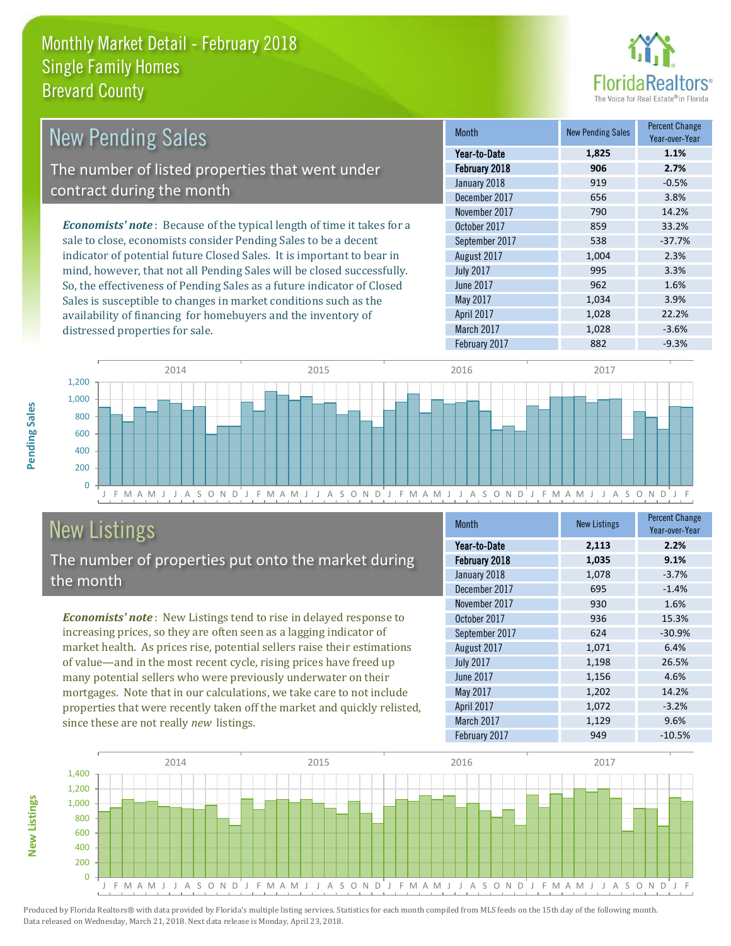

| <b>New Pending Sales</b>                                                      | <b>Month</b>     | <b>New Pending Sales</b> | <b>Percent Change</b><br>Year-over-Year |
|-------------------------------------------------------------------------------|------------------|--------------------------|-----------------------------------------|
|                                                                               | Year-to-Date     | 1,825                    | 1.1%                                    |
| The number of listed properties that went under                               | February 2018    | 906                      | 2.7%                                    |
|                                                                               | January 2018     | 919                      | $-0.5%$                                 |
| contract during the month                                                     | December 2017    | 656                      | 3.8%                                    |
|                                                                               | November 2017    | 790                      | 14.2%                                   |
| <b>Economists' note:</b> Because of the typical length of time it takes for a | October 2017     | 859                      | 33.2%                                   |
| sale to close, economists consider Pending Sales to be a decent               | September 2017   | 538                      | $-37.7%$                                |
| indicator of potential future Closed Sales. It is important to bear in        | August 2017      | 1,004                    | 2.3%                                    |
| mind, however, that not all Pending Sales will be closed successfully.        | <b>July 2017</b> | 995                      | 3.3%                                    |
| So, the effectiveness of Pending Sales as a future indicator of Closed        | June 2017        | 962                      | 1.6%                                    |
| Sales is susceptible to changes in market conditions such as the              | May 2017         | 1.034                    | 3.9%                                    |

J F M A M J J A S O N D J F M A M J J A S O N D J F M A M J J A S O N D J F M A M J J A S O N D J F  $\Omega$ 200 400 600 800 1,000 1,200 2014 2015 2016 2017

# New Listings

distressed properties for sale.

The number of properties put onto the market during the month

availability of financing for homebuyers and the inventory of

*Economists' note* : New Listings tend to rise in delayed response to increasing prices, so they are often seen as a lagging indicator of market health. As prices rise, potential sellers raise their estimations of value—and in the most recent cycle, rising prices have freed up many potential sellers who were previously underwater on their mortgages. Note that in our calculations, we take care to not include properties that were recently taken off the market and quickly relisted, since these are not really *new* listings.

| Month            | <b>New Listings</b> | <b>Percent Change</b><br>Year-over-Year |
|------------------|---------------------|-----------------------------------------|
| Year-to-Date     | 2,113               | 2.2%                                    |
| February 2018    | 1,035               | 9.1%                                    |
| January 2018     | 1,078               | $-3.7%$                                 |
| December 2017    | 695                 | $-1.4%$                                 |
| November 2017    | 930                 | 1.6%                                    |
| October 2017     | 936                 | 15.3%                                   |
| September 2017   | 624                 | $-30.9%$                                |
| August 2017      | 1,071               | 6.4%                                    |
| <b>July 2017</b> | 1,198               | 26.5%                                   |
| June 2017        | 1,156               | 4.6%                                    |
| May 2017         | 1,202               | 14.2%                                   |
| April 2017       | 1,072               | $-3.2%$                                 |
| March 2017       | 1,129               | 9.6%                                    |
| February 2017    | 949                 | $-10.5%$                                |

April 2017 1,028 22.2% March 2017 1,028 -3.6% February 2017 **882** -9.3%



Produced by Florida Realtors® with data provided by Florida's multiple listing services. Statistics for each month compiled from MLS feeds on the 15th day of the following month. Data released on Wednesday, March 21, 2018. Next data release is Monday, April 23, 2018.

**New Listings**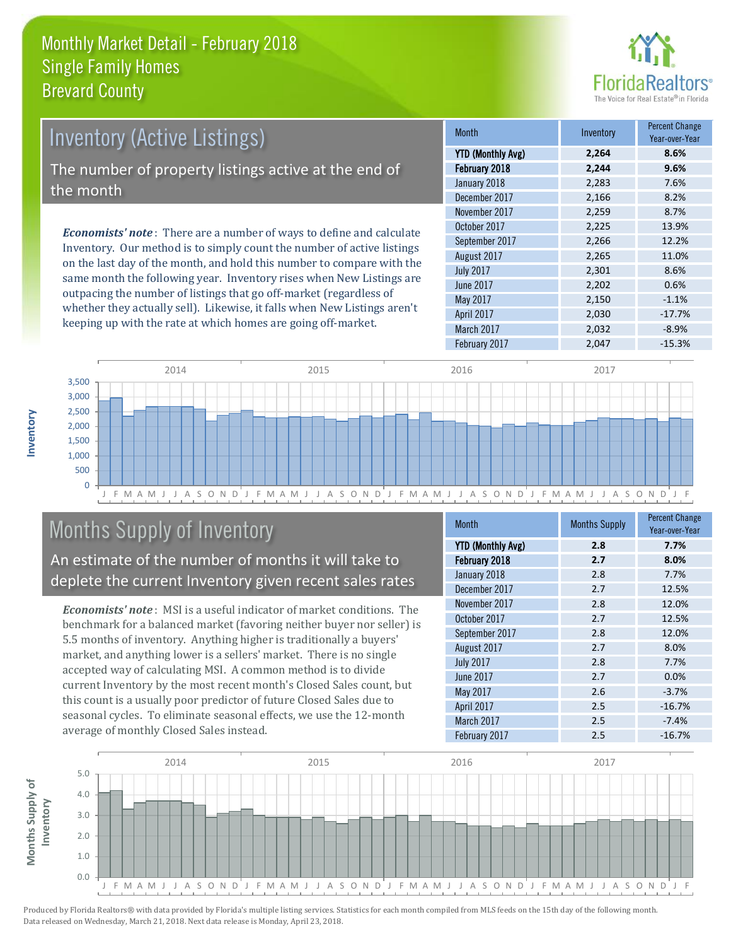

| <b>Inventory (Active Listings)</b><br>The number of property listings active at the end of<br>the month |  |                                                                              |  |
|---------------------------------------------------------------------------------------------------------|--|------------------------------------------------------------------------------|--|
|                                                                                                         |  | <b>Economists' note</b> : There are a number of ways to define and calculate |  |

Inventory. Our method is to simply count the number of active listings on the last day of the month, and hold this number to compare with the same month the following year. Inventory rises when New Listings are outpacing the number of listings that go off-market (regardless of whether they actually sell). Likewise, it falls when New Listings aren't keeping up with the rate at which homes are going off-market.

| <b>Month</b>             | Inventory | <b>Percent Change</b><br>Year-over-Year |
|--------------------------|-----------|-----------------------------------------|
| <b>YTD (Monthly Avg)</b> | 2,264     | 8.6%                                    |
| February 2018            | 2,244     | 9.6%                                    |
| January 2018             | 2,283     | 7.6%                                    |
| December 2017            | 2,166     | 8.2%                                    |
| November 2017            | 2,259     | 8.7%                                    |
| October 2017             | 2,225     | 13.9%                                   |
| September 2017           | 2,266     | 12.2%                                   |
| August 2017              | 2,265     | 11.0%                                   |
| <b>July 2017</b>         | 2,301     | 8.6%                                    |
| <b>June 2017</b>         | 2,202     | 0.6%                                    |
| May 2017                 | 2,150     | $-1.1%$                                 |
| April 2017               | 2,030     | $-17.7%$                                |
| March 2017               | 2,032     | $-8.9%$                                 |
| February 2017            | 2,047     | $-15.3%$                                |



# Months Supply of Inventory

An estimate of the number of months it will take to deplete the current Inventory given recent sales rates

*Economists' note* : MSI is a useful indicator of market conditions. The benchmark for a balanced market (favoring neither buyer nor seller) is 5.5 months of inventory. Anything higher is traditionally a buyers' market, and anything lower is a sellers' market. There is no single accepted way of calculating MSI. A common method is to divide current Inventory by the most recent month's Closed Sales count, but this count is a usually poor predictor of future Closed Sales due to seasonal cycles. To eliminate seasonal effects, we use the 12-month average of monthly Closed Sales instead.

| <b>Month</b>             | <b>Months Supply</b> | <b>Percent Change</b><br>Year-over-Year |
|--------------------------|----------------------|-----------------------------------------|
| <b>YTD (Monthly Avg)</b> | 2.8                  | 7.7%                                    |
| February 2018            | 2.7                  | 8.0%                                    |
| January 2018             | 2.8                  | 7.7%                                    |
| December 2017            | 2.7                  | 12.5%                                   |
| November 2017            | 2.8                  | 12.0%                                   |
| October 2017             | 2.7                  | 12.5%                                   |
| September 2017           | 2.8                  | 12.0%                                   |
| August 2017              | 2.7                  | 8.0%                                    |
| <b>July 2017</b>         | 2.8                  | 7.7%                                    |
| June 2017                | 2.7                  | 0.0%                                    |
| May 2017                 | 2.6                  | $-3.7%$                                 |
| April 2017               | 2.5                  | $-16.7%$                                |
| March 2017               | 2.5                  | $-7.4%$                                 |
| February 2017            | 2.5                  | $-16.7%$                                |

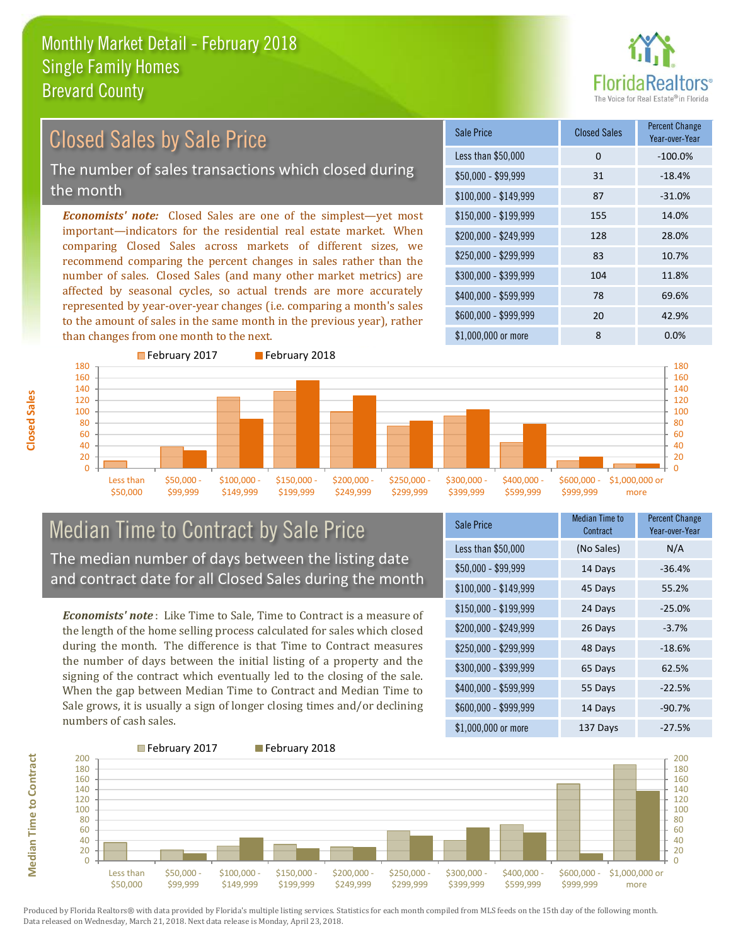

## Closed Sales by Sale Price

The number of sales transactions which closed during the month

*Economists' note:* Closed Sales are one of the simplest—yet most important—indicators for the residential real estate market. When comparing Closed Sales across markets of different sizes, we recommend comparing the percent changes in sales rather than the number of sales. Closed Sales (and many other market metrics) are affected by seasonal cycles, so actual trends are more accurately represented by year-over-year changes (i.e. comparing a month's sales to the amount of sales in the same month in the previous year), rather than changes from one month to the next.





### Median Time to Contract by Sale Price The median number of days between the listing date and contract date for all Closed Sales during the month

*Economists' note* : Like Time to Sale, Time to Contract is a measure of the length of the home selling process calculated for sales which closed during the month. The difference is that Time to Contract measures the number of days between the initial listing of a property and the signing of the contract which eventually led to the closing of the sale. When the gap between Median Time to Contract and Median Time to Sale grows, it is usually a sign of longer closing times and/or declining numbers of cash sales.

| <b>Sale Price</b>     | Median Time to<br>Contract | <b>Percent Change</b><br>Year-over-Year |
|-----------------------|----------------------------|-----------------------------------------|
| Less than \$50,000    | (No Sales)                 | N/A                                     |
| $$50,000 - $99,999$   | 14 Days                    | $-36.4%$                                |
| $$100,000 - $149,999$ | 45 Days                    | 55.2%                                   |
| $$150,000 - $199,999$ | 24 Days                    | $-25.0%$                                |
| \$200,000 - \$249,999 | 26 Days                    | $-3.7%$                                 |
| \$250,000 - \$299,999 | 48 Days                    | $-18.6%$                                |
| \$300,000 - \$399,999 | 65 Days                    | 62.5%                                   |
| \$400,000 - \$599,999 | 55 Days                    | $-22.5%$                                |
| \$600,000 - \$999,999 | 14 Days                    | $-90.7%$                                |
| \$1,000,000 or more   | 137 Days                   | $-27.5%$                                |

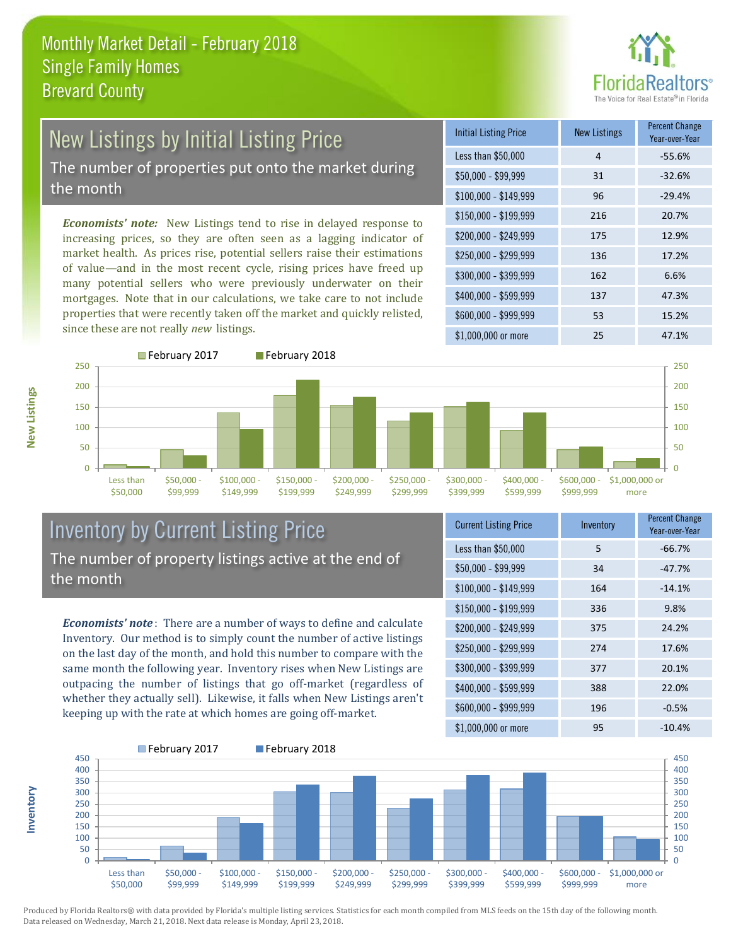

## New Listings by Initial Listing Price The number of properties put onto the market during

the month

*Economists' note:* New Listings tend to rise in delayed response to increasing prices, so they are often seen as a lagging indicator of market health. As prices rise, potential sellers raise their estimations of value—and in the most recent cycle, rising prices have freed up many potential sellers who were previously underwater on their mortgages. Note that in our calculations, we take care to not include properties that were recently taken off the market and quickly relisted, since these are not really *new* listings.





## Inventory by Current Listing Price The number of property listings active at the end of the month

*Economists' note* : There are a number of ways to define and calculate Inventory. Our method is to simply count the number of active listings on the last day of the month, and hold this number to compare with the same month the following year. Inventory rises when New Listings are outpacing the number of listings that go off-market (regardless of whether they actually sell). Likewise, it falls when New Listings aren't keeping up with the rate at which homes are going off-market.

| <b>Current Listing Price</b> | Inventory | Percent Change<br>Year-over-Year |
|------------------------------|-----------|----------------------------------|
| Less than \$50,000           | 5         | $-66.7%$                         |
| $$50,000 - $99,999$          | 34        | $-47.7%$                         |
| $$100,000 - $149,999$        | 164       | $-14.1%$                         |
| $$150,000 - $199,999$        | 336       | 9.8%                             |
| \$200,000 - \$249,999        | 375       | 24.2%                            |
| \$250,000 - \$299,999        | 274       | 17.6%                            |
| \$300,000 - \$399,999        | 377       | 20.1%                            |
| \$400,000 - \$599,999        | 388       | 22.0%                            |
| \$600,000 - \$999,999        | 196       | $-0.5%$                          |
| \$1,000,000 or more          | 95        | $-10.4%$                         |



Produced by Florida Realtors® with data provided by Florida's multiple listing services. Statistics for each month compiled from MLS feeds on the 15th day of the following month. Data released on Wednesday, March 21, 2018. Next data release is Monday, April 23, 2018.

**Inventory**